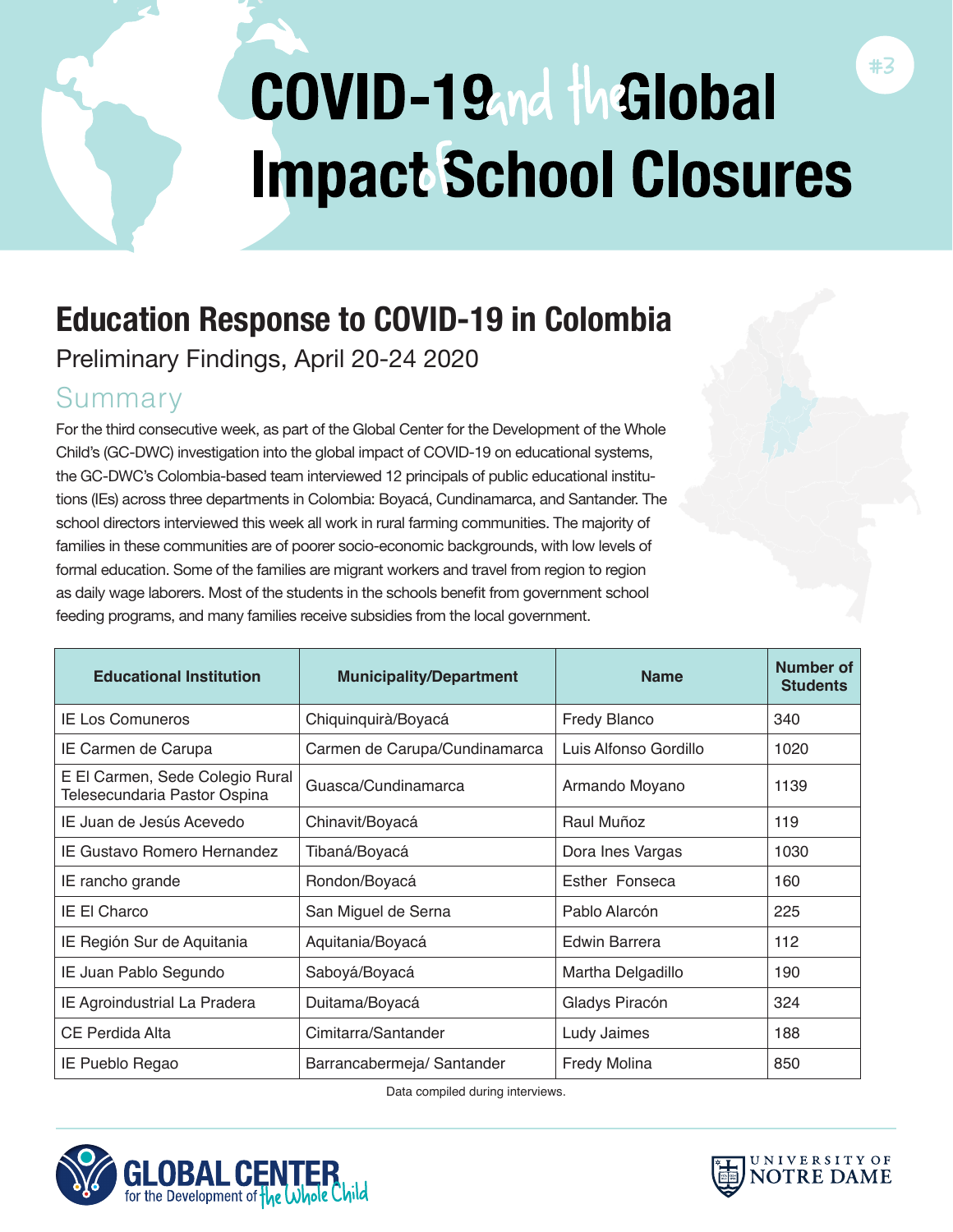# COVID-19md the Global **Impact School Closures**

# **Education Response to COVID-19 in Colombia**

Preliminary Findings, April 20-24 2020

### Summary

For the third consecutive week, as part of the Global Center for the Development of the Whole Child's (GC-DWC) investigation into the global impact of COVID-19 on educational systems, the GC-DWC's Colombia-based team interviewed 12 principals of public educational institutions (IEs) across three departments in Colombia: Boyacá, Cundinamarca, and Santander. The school directors interviewed this week all work in rural farming communities. The majority of families in these communities are of poorer socio-economic backgrounds, with low levels of formal education. Some of the families are migrant workers and travel from region to region as daily wage laborers. Most of the students in the schools benefit from government school feeding programs, and many families receive subsidies from the local government.

| <b>Educational Institution</b>                                  | <b>Municipality/Department</b> | <b>Name</b>           | Number of<br><b>Students</b> |
|-----------------------------------------------------------------|--------------------------------|-----------------------|------------------------------|
| <b>IE Los Comuneros</b>                                         | Chiquinquirà/Boyacá            | <b>Fredy Blanco</b>   | 340                          |
| IE Carmen de Carupa                                             | Carmen de Carupa/Cundinamarca  | Luis Alfonso Gordillo | 1020                         |
| E El Carmen, Sede Colegio Rural<br>Telesecundaria Pastor Ospina | Guasca/Cundinamarca            | Armando Moyano        | 1139                         |
| IE Juan de Jesús Acevedo                                        | Chinavit/Boyacá                | Raul Muñoz            | 119                          |
| IE Gustavo Romero Hernandez                                     | Tibaná/Boyacá                  | Dora Ines Vargas      | 1030                         |
| IE rancho grande                                                | Rondon/Boyacá                  | Esther Fonseca        | 160                          |
| <b>IE El Charco</b>                                             | San Miguel de Serna            | Pablo Alarcón         | 225                          |
| IE Región Sur de Aquitania                                      | Aquitania/Boyacá               | Edwin Barrera         | 112                          |
| IE Juan Pablo Segundo                                           | Saboyá/Boyacá                  | Martha Delgadillo     | 190                          |
| IE Agroindustrial La Pradera                                    | Duitama/Boyacá                 | Gladys Piracón        | 324                          |
| CE Perdida Alta                                                 | Cimitarra/Santander            | Ludy Jaimes           | 188                          |
| IE Pueblo Regao                                                 | Barrancabermeja/ Santander     | <b>Fredy Molina</b>   | 850                          |

Data compiled during interviews.



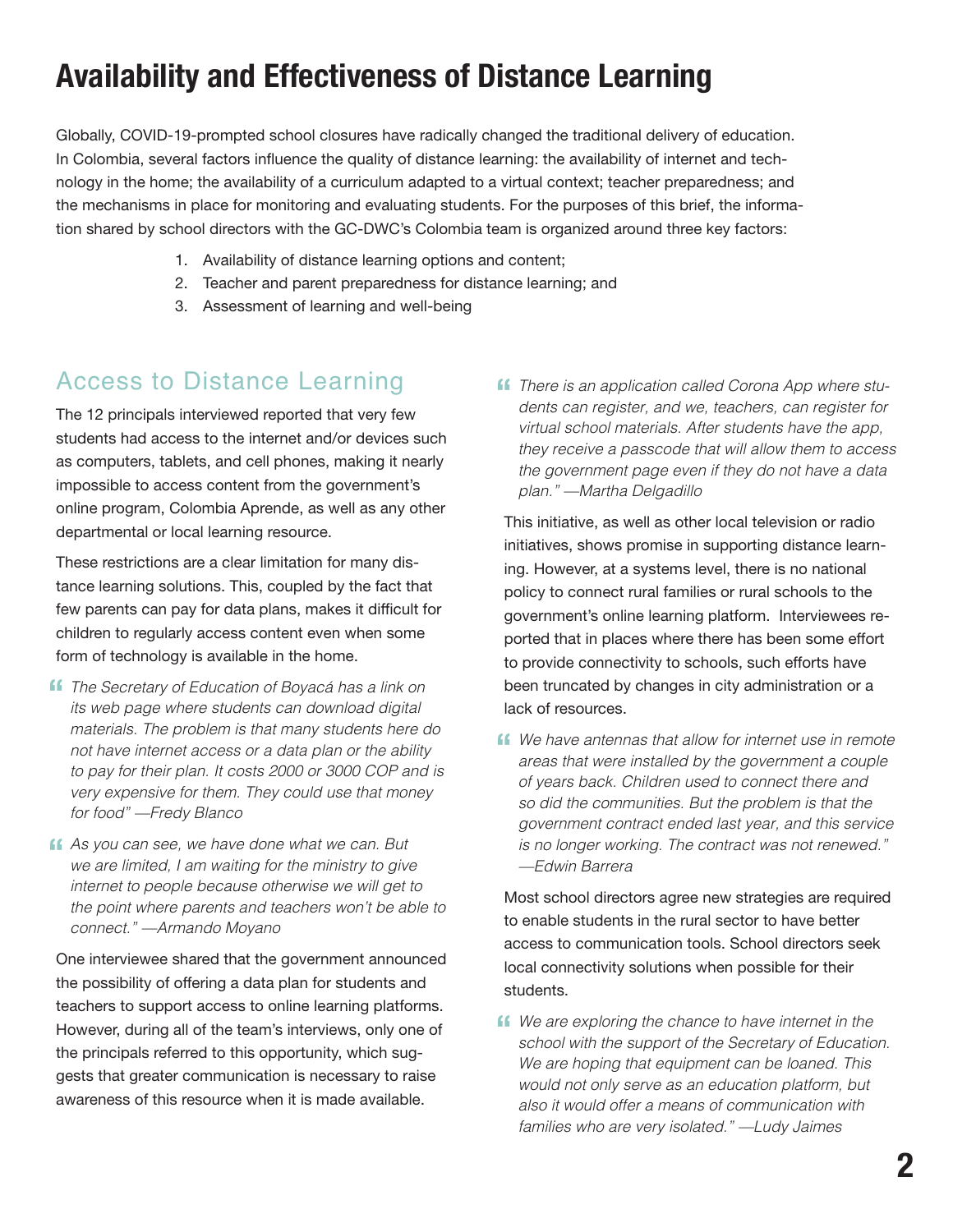## **Availability and Effectiveness of Distance Learning**

Globally, COVID-19-prompted school closures have radically changed the traditional delivery of education. In Colombia, several factors influence the quality of distance learning: the availability of internet and technology in the home; the availability of a curriculum adapted to a virtual context; teacher preparedness; and the mechanisms in place for monitoring and evaluating students. For the purposes of this brief, the information shared by school directors with the GC-DWC's Colombia team is organized around three key factors:

- 1. Availability of distance learning options and content;
- 2. Teacher and parent preparedness for distance learning; and
- 3. Assessment of learning and well-being

#### Access to Distance Learning

The 12 principals interviewed reported that very few students had access to the internet and/or devices such as computers, tablets, and cell phones, making it nearly impossible to access content from the government's online program, Colombia Aprende, as well as any other departmental or local learning resource.

These restrictions are a clear limitation for many distance learning solutions. This, coupled by the fact that few parents can pay for data plans, makes it difficult for children to regularly access content even when some form of technology is available in the home.

- **f** The Secretary of Education of Boyacá has a link on its web page where students can download digital *its web page where students can download digital materials. The problem is that many students here do not have internet access or a data plan or the ability to pay for their plan. It costs 2000 or 3000 COP and is very expensive for them. They could use that money for food" —Fredy Blanco*
- **f** As you can see, we have done what we can. But we are limited, I am waiting for the ministry to give *we are limited, I am waiting for the ministry to give internet to people because otherwise we will get to the point where parents and teachers won't be able to connect." —Armando Moyano*

One interviewee shared that the government announced the possibility of offering a data plan for students and teachers to support access to online learning platforms. However, during all of the team's interviews, only one of the principals referred to this opportunity, which suggests that greater communication is necessary to raise awareness of this resource when it is made available.

**f** There is an application called Corona App where students can register. and we, teachers, can register for *dents can register, and we, teachers, can register for virtual school materials. After students have the app, they receive a passcode that will allow them to access the government page even if they do not have a data plan." —Martha Delgadillo* 

This initiative, as well as other local television or radio initiatives, shows promise in supporting distance learning. However, at a systems level, there is no national policy to connect rural families or rural schools to the government's online learning platform. Interviewees reported that in places where there has been some effort to provide connectivity to schools, such efforts have been truncated by changes in city administration or a lack of resources.

**f** We have antennas that allow for internet use in remote areas that were installed by the government a couple *areas that were installed by the government a couple of years back. Children used to connect there and so did the communities. But the problem is that the government contract ended last year, and this service is no longer working. The contract was not renewed." —Edwin Barrera* 

Most school directors agree new strategies are required to enable students in the rural sector to have better access to communication tools. School directors seek local connectivity solutions when possible for their students.

**ff** We are exploring the chance to have internet in the school with the support of the Secretary of Education *school with the support of the Secretary of Education. We are hoping that equipment can be loaned. This would not only serve as an education platform, but also it would offer a means of communication with families who are very isolated." —Ludy Jaimes*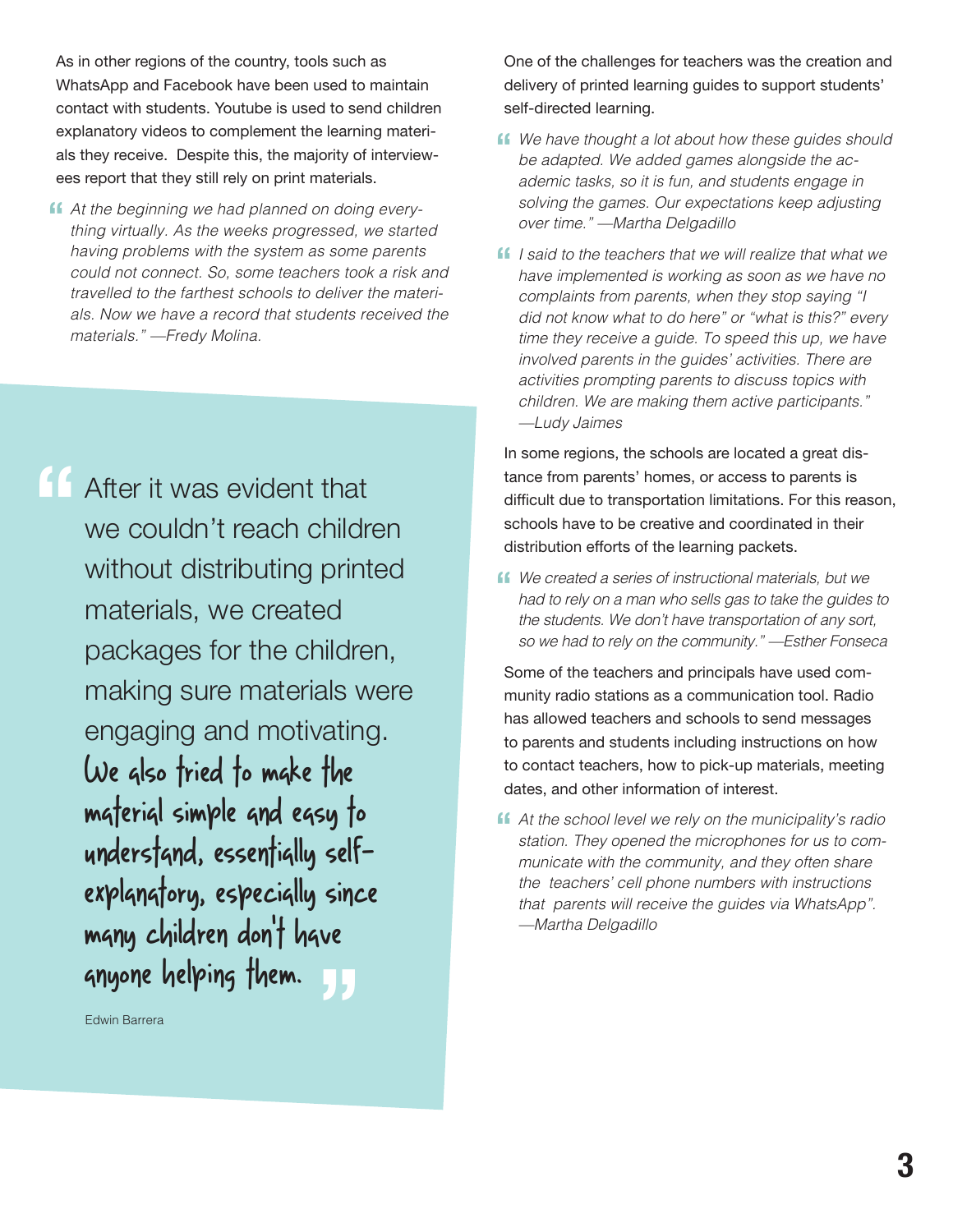As in other regions of the country, tools such as WhatsApp and Facebook have been used to maintain contact with students. Youtube is used to send children explanatory videos to complement the learning materials they receive. Despite this, the majority of interviewees report that they still rely on print materials.

*At the beginning we had planned on doing every-***"** *thing virtually. As the weeks progressed, we started having problems with the system as some parents could not connect. So, some teachers took a risk and travelled to the farthest schools to deliver the materials. Now we have a record that students received the materials." —Fredy Molina.*

**"** ve<br><mark>J.</mark>J After it was evident that we couldn't reach children without distributing printed materials, we created packages for the children, making sure materials were engaging and motivating. We also tried to make the material simple and easy to understand, essentially selfexplanatory, especially since many children don't have anyone helping them.

Edwin Barrera

One of the challenges for teachers was the creation and delivery of printed learning guides to support students' self-directed learning.

- **ff** We have thought a lot about how these guides should be adapted. We added games alongside the ac*be adapted. We added games alongside the academic tasks, so it is fun, and students engage in solving the games. Our expectations keep adjusting over time." —Martha Delgadillo*
- *I* **I** said to the teachers that we will realize that what we have implemented is working as soon as we have no *have implemented is working as soon as we have no complaints from parents, when they stop saying "I did not know what to do here" or "what is this?" every time they receive a guide. To speed this up, we have involved parents in the guides' activities. There are activities prompting parents to discuss topics with children. We are making them active participants." —Ludy Jaimes*

In some regions, the schools are located a great distance from parents' homes, or access to parents is difficult due to transportation limitations. For this reason, schools have to be creative and coordinated in their distribution efforts of the learning packets.

**f** We created a series of instructional materials, but we had to rely on a man who sells gas to take the quides *had to rely on a man who sells gas to take the guides to the students. We don't have transportation of any sort, so we had to rely on the community." —Esther Fonseca*

Some of the teachers and principals have used community radio stations as a communication tool. Radio has allowed teachers and schools to send messages to parents and students including instructions on how to contact teachers, how to pick-up materials, meeting dates, and other information of interest.

**4** At the school level we rely on the municipality's radio station. They one ned the microphones for us to com*station. They opened the microphones for us to communicate with the community, and they often share the teachers' cell phone numbers with instructions that parents will receive the guides via WhatsApp". —Martha Delgadillo*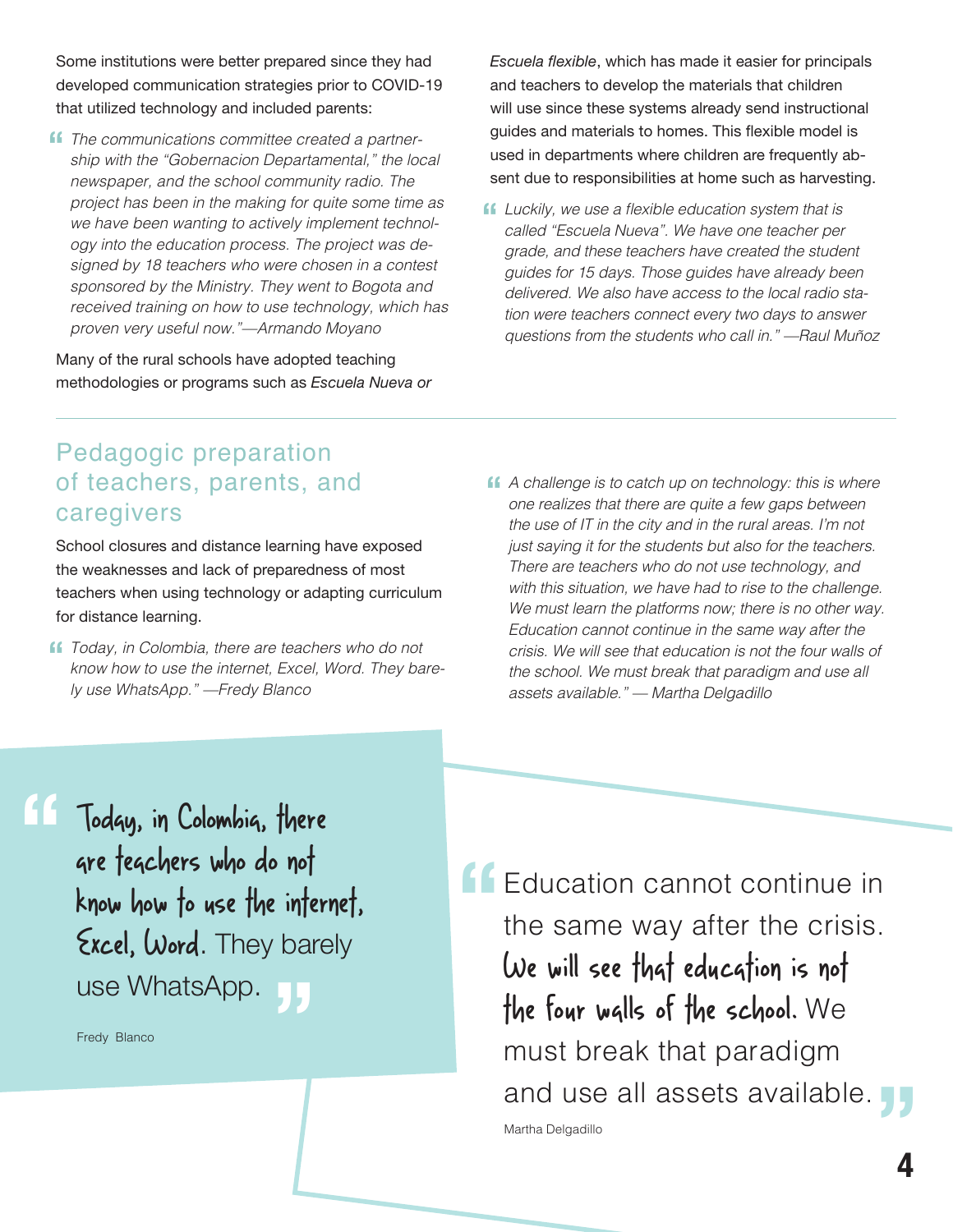Some institutions were better prepared since they had developed communication strategies prior to COVID-19 that utilized technology and included parents:

**ff** The communications committee created a partner-<br>ship with the "Gobernacion Departamental." the loc *ship with the "Gobernacion Departamental," the local newspaper, and the school community radio. The project has been in the making for quite some time as we have been wanting to actively implement technology into the education process. The project was designed by 18 teachers who were chosen in a contest sponsored by the Ministry. They went to Bogota and received training on how to use technology, which has proven very useful now."—Armando Moyano*

Many of the rural schools have adopted teaching methodologies or programs such as *Escuela Nueva or*  *Escuela flexible*, which has made it easier for principals and teachers to develop the materials that children will use since these systems already send instructional guides and materials to homes. This flexible model is used in departments where children are frequently absent due to responsibilities at home such as harvesting.

**f** Luckily, we use a flexible education system that is called "Escuela Nueva". We have one teacher per *called "Escuela Nueva". We have one teacher per grade, and these teachers have created the student guides for 15 days. Those guides have already been delivered. We also have access to the local radio station were teachers connect every two days to answer questions from the students who call in." —Raul Muñoz*

#### Pedagogic preparation of teachers, parents, and caregivers

School closures and distance learning have exposed the weaknesses and lack of preparedness of most teachers when using technology or adapting curriculum for distance learning.

- **f** *Today, in Colombia, there are teachers who do not*<br> *know how to use the internet, Excel, Word. They ba know how to use the internet, Excel, Word. They barely use WhatsApp." —Fredy Blanco*
- **f** A challenge is to catch up on technology: this is where one realizes that there are quite a few gaps between *one realizes that there are quite a few gaps between the use of IT in the city and in the rural areas. I'm not just saying it for the students but also for the teachers. There are teachers who do not use technology, and with this situation, we have had to rise to the challenge. We must learn the platforms now; there is no other way. Education cannot continue in the same way after the crisis. We will see that education is not the four walls of the school. We must break that paradigm and use all assets available." — Martha Delgadillo*

Today, in Colombia, there are teachers who do not know how to use the internet, Excel, Word. They barely use WhatsApp. **"** nai<br><mark>JJ</mark>

Fredy Blanco

Education cannot continue in the same way after the crisis. We will see that education is not the four walls of the school. We must break that paradigm must preak that paradigm<br>and use all assets available. **Ty "** Martha Delgadillo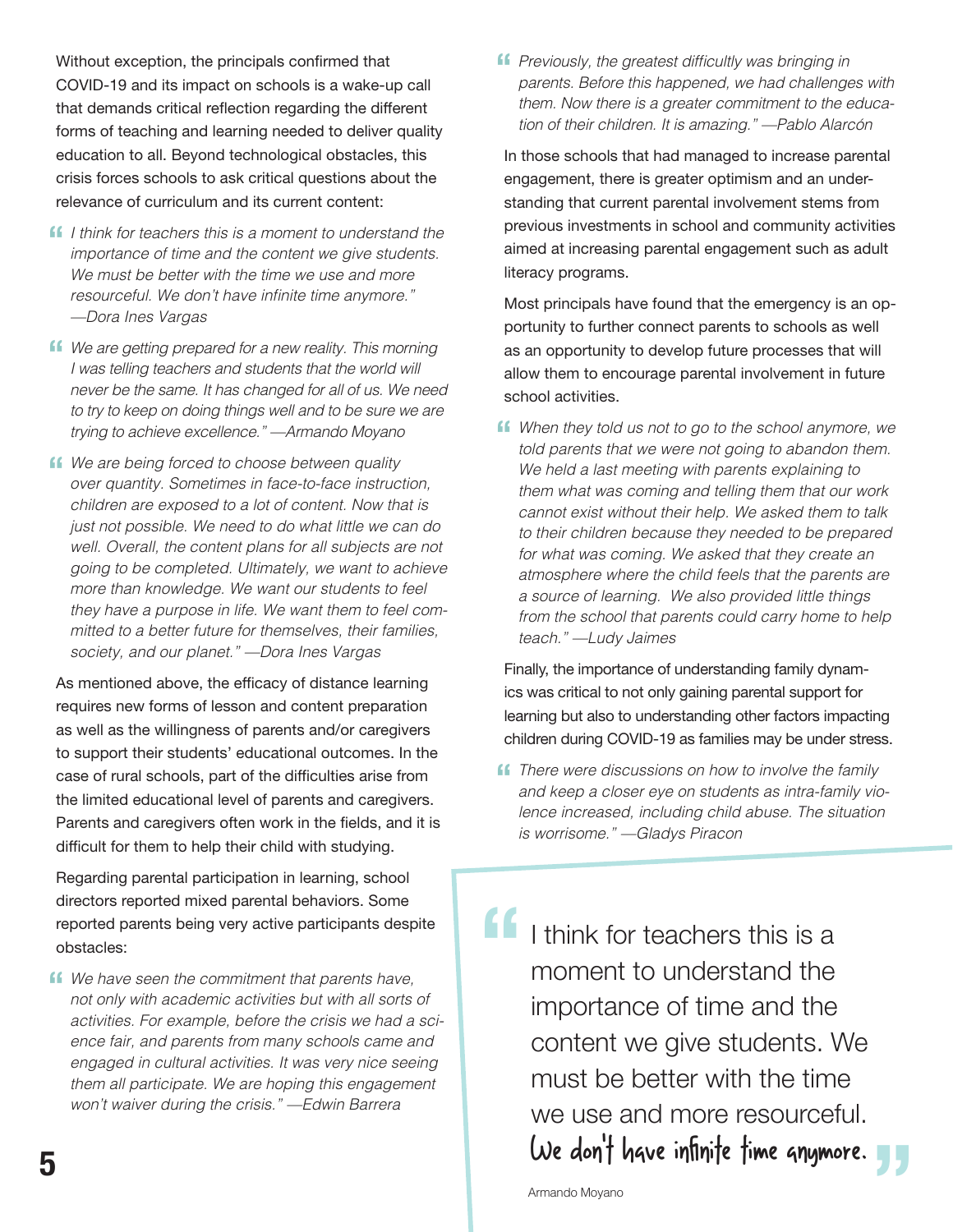Without exception, the principals confirmed that COVID-19 and its impact on schools is a wake-up call that demands critical reflection regarding the different forms of teaching and learning needed to deliver quality education to all. Beyond technological obstacles, this crisis forces schools to ask critical questions about the relevance of curriculum and its current content:

- *If* I think for teachers this is a moment to understand the importance of time and the content we aive students. *importance of time and the content we give students. We must be better with the time we use and more*  resourceful. We don't have infinite time anymore." *—Dora Ines Vargas*
- **f** We are getting prepared for a new reality. This morning I was telling teachers and students that the world will *I was telling teachers and students that the world will never be the same. It has changed for all of us. We need to try to keep on doing things well and to be sure we are trying to achieve excellence." —Armando Moyano*
- **ff** We are being forced to choose between quality over quantity. Sometimes in face-to-face instruction *over quantity. Sometimes in face-to-face instruction, children are exposed to a lot of content. Now that is just not possible. We need to do what little we can do well. Overall, the content plans for all subjects are not going to be completed. Ultimately, we want to achieve more than knowledge. We want our students to feel they have a purpose in life. We want them to feel committed to a better future for themselves, their families, society, and our planet." —Dora Ines Vargas*

As mentioned above, the efficacy of distance learning requires new forms of lesson and content preparation as well as the willingness of parents and/or caregivers to support their students' educational outcomes. In the case of rural schools, part of the difficulties arise from the limited educational level of parents and caregivers. Parents and caregivers often work in the fields, and it is difficult for them to help their child with studying.

Regarding parental participation in learning, school directors reported mixed parental behaviors. Some reported parents being very active participants despite obstacles:

**f** We have seen the commitment that parents have, not only with academic activities but with all sorts *not only with academic activities but with all sorts of activities. For example, before the crisis we had a science fair, and parents from many schools came and engaged in cultural activities. It was very nice seeing them all participate. We are hoping this engagement won't waiver during the crisis." —Edwin Barrera* 

**f** Previously, the greatest difficultly was bringing in parents. Before this happened, we had challenge *parents. Before this happened, we had challenges with them. Now there is a greater commitment to the education of their children. It is amazing." —Pablo Alarcón*

In those schools that had managed to increase parental engagement, there is greater optimism and an understanding that current parental involvement stems from previous investments in school and community activities aimed at increasing parental engagement such as adult literacy programs.

Most principals have found that the emergency is an opportunity to further connect parents to schools as well as an opportunity to develop future processes that will allow them to encourage parental involvement in future school activities.

**f** When they told us not to go to the school anymore, we told parents that we were not going to abandon them. *told parents that we were not going to abandon them. We held a last meeting with parents explaining to them what was coming and telling them that our work cannot exist without their help. We asked them to talk to their children because they needed to be prepared for what was coming. We asked that they create an atmosphere where the child feels that the parents are a source of learning. We also provided little things from the school that parents could carry home to help teach." —Ludy Jaimes*

Finally, the importance of understanding family dynamics was critical to not only gaining parental support for learning but also to understanding other factors impacting children during COVID-19 as families may be under stress.

**f** There were discussions on how to involve the family and keep a closer eve on students as intra-family vidently *and keep a closer eye on students as intra-family violence increased, including child abuse. The situation is worrisome." —Gladys Piracon*

I think for teachers this is a moment to understand the importance of time and the content we give students. We must be better with the time we use and more resourceful. We don't have infinite time anymore. **"** We use and more resourcetul.<br>
We don't have infinite time anymore.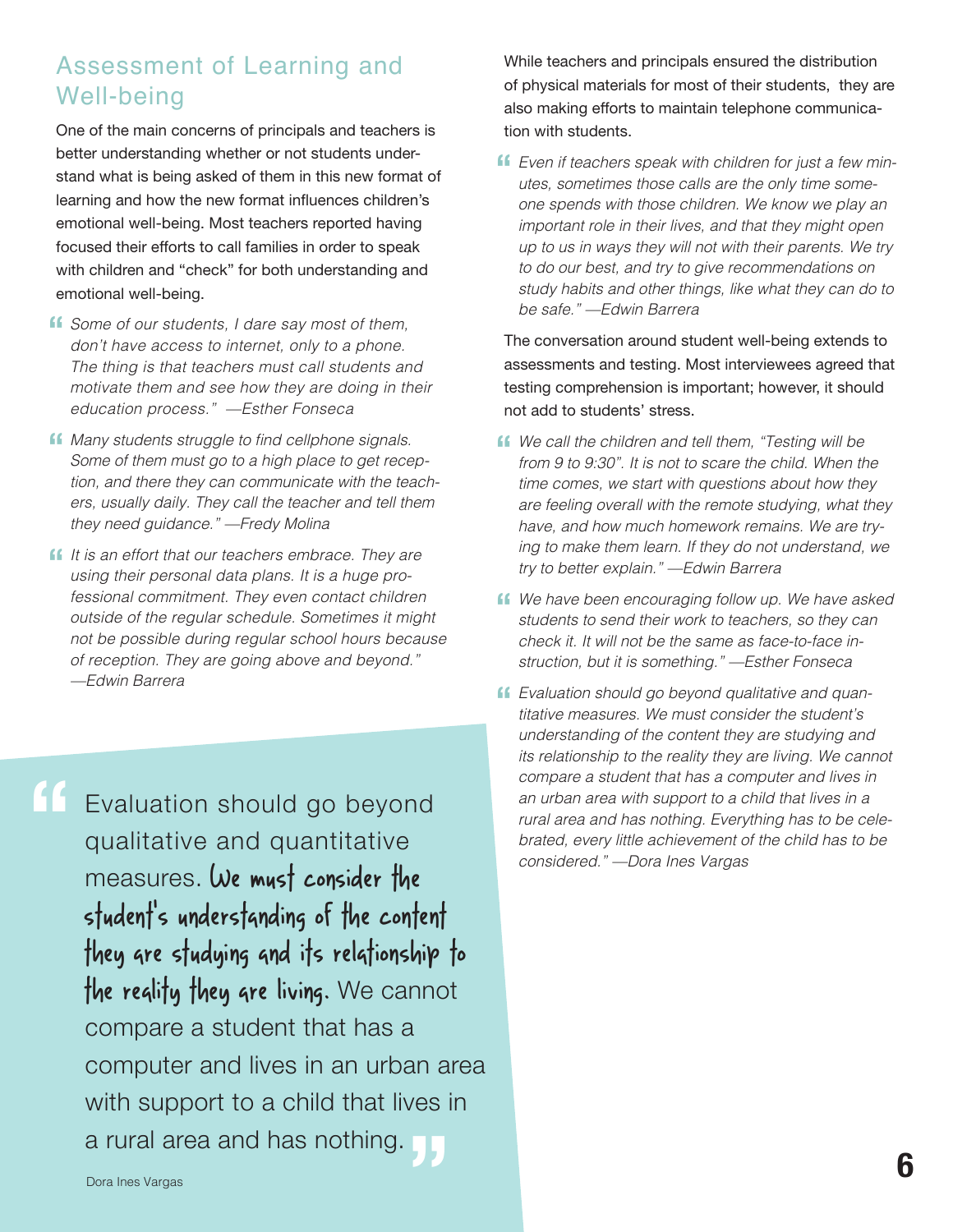#### Assessment of Learning and Well-being

One of the main concerns of principals and teachers is better understanding whether or not students understand what is being asked of them in this new format of learning and how the new format influences children's emotional well-being. Most teachers reported having focused their efforts to call families in order to speak with children and "check" for both understanding and emotional well-being.

- **f** Some of our students, I dare say most of them, don't have access to internet, only to a phone. *don't have access to internet, only to a phone. The thing is that teachers must call students and motivate them and see how they are doing in their education process." —Esther Fonseca*
- **ff** Many students struggle to find cellphone signals.<br>Some of them must go to a high place to get rece *Some of them must go to a high place to get reception, and there they can communicate with the teachers, usually daily. They call the teacher and tell them they need guidance." —Fredy Molina*
- *If it is an effort that our teachers embrace. They are using their personal data plans. It is a huge prousing their personal data plans. It is a huge professional commitment. They even contact children outside of the regular schedule. Sometimes it might not be possible during regular school hours because of reception. They are going above and beyond." —Edwin Barrera*

**"**

Evaluation should go beyond qualitative and quantitative measures. We must consider the student's understanding of the content they are studying and its relationship to the reality they are living. We cannot compare a student that has a computer and lives in an urban area with support to a child that lives in<br>a rural area and has nothing. a rural area and has nothing.

While teachers and principals ensured the distribution of physical materials for most of their students, they are also making efforts to maintain telephone communication with students.

**f** Even if teachers speak with children for just a few min-<br>utes, sometimes those calls are the only time some*utes, sometimes those calls are the only time someone spends with those children. We know we play an important role in their lives, and that they might open up to us in ways they will not with their parents. We try to do our best, and try to give recommendations on study habits and other things, like what they can do to be safe." —Edwin Barrera* 

The conversation around student well-being extends to assessments and testing. Most interviewees agreed that testing comprehension is important; however, it should not add to students' stress.

- **f** We call the children and tell them, "Testing will be from 9 to 9:30". It is not to scare the child. When the *from 9 to 9:30". It is not to scare the child. When the time comes, we start with questions about how they are feeling overall with the remote studying, what they have, and how much homework remains. We are trying to make them learn. If they do not understand, we try to better explain." —Edwin Barrera*
- **f** We have been encouraging follow up. We have asked students to send their work to teachers, so they can *students to send their work to teachers, so they can check it. It will not be the same as face-to-face instruction, but it is something." —Esther Fonseca*
- **f** Evaluation should go beyond qualitative and quan-<br>titative measures. We must consider the student's *titative measures. We must consider the student's understanding of the content they are studying and its relationship to the reality they are living. We cannot compare a student that has a computer and lives in an urban area with support to a child that lives in a rural area and has nothing. Everything has to be celebrated, every little achievement of the child has to be considered." —Dora Ines Vargas*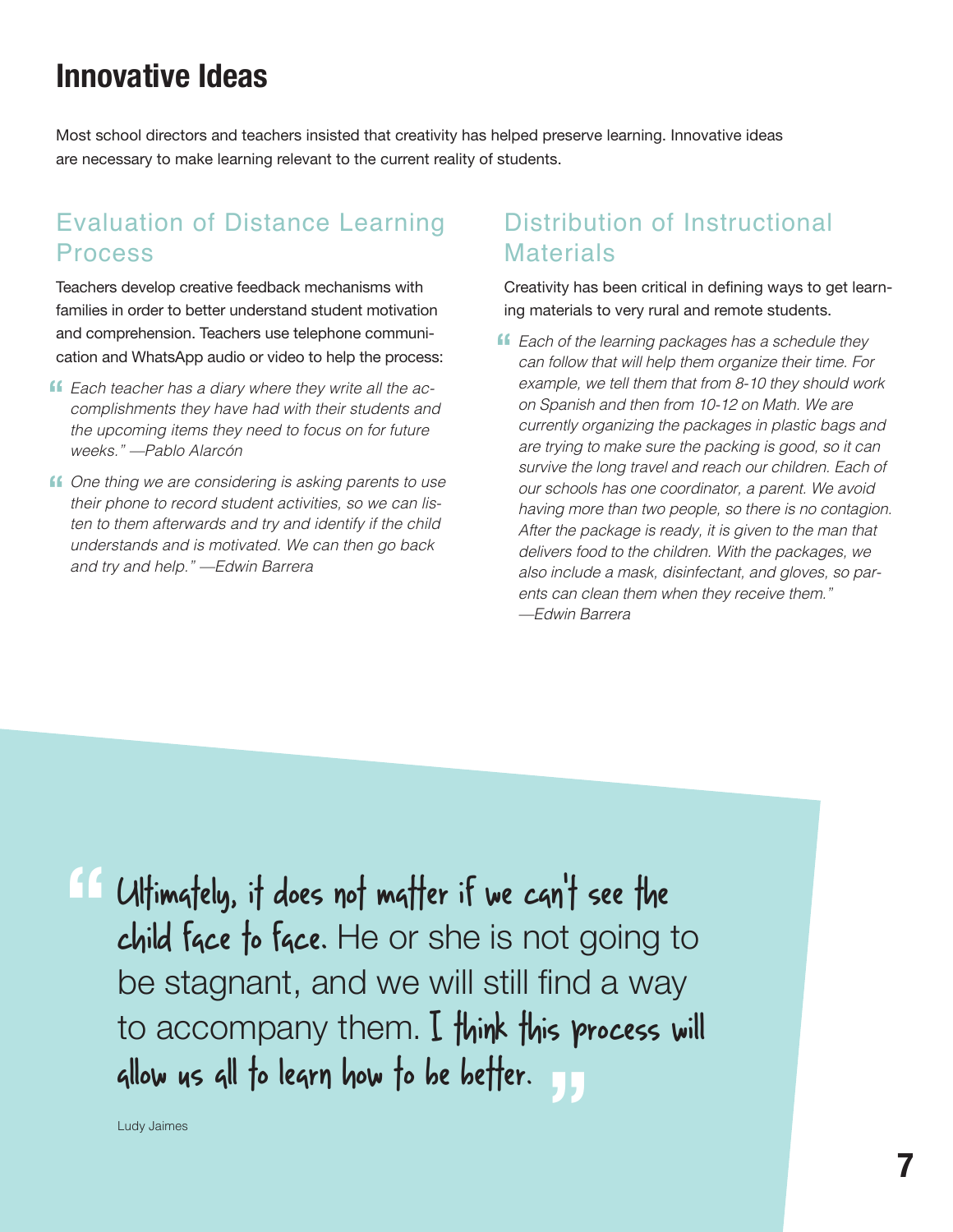## **Innovative Ideas**

Most school directors and teachers insisted that creativity has helped preserve learning. Innovative ideas are necessary to make learning relevant to the current reality of students.

#### Evaluation of Distance Learning Process

Teachers develop creative feedback mechanisms with families in order to better understand student motivation and comprehension. Teachers use telephone communication and WhatsApp audio or video to help the process:

- *Each teacher has a diary where they write all the ac-***"** *complishments they have had with their students and the upcoming items they need to focus on for future weeks." —Pablo Alarcón*
- **ff** One thing we are considering is asking parents to use their phone to record student activities, so we can lis*their phone to record student activities, so we can listen to them afterwards and try and identify if the child understands and is motivated. We can then go back and try and help." —Edwin Barrera*

#### Distribution of Instructional **Materials**

Creativity has been critical in defining ways to get learning materials to very rural and remote students.

**f** Each of the learning packages has a schedule they can follow that will help them organize their time. For *can follow that will help them organize their time. For example, we tell them that from 8-10 they should work on Spanish and then from 10-12 on Math. We are currently organizing the packages in plastic bags and are trying to make sure the packing is good, so it can survive the long travel and reach our children. Each of our schools has one coordinator, a parent. We avoid having more than two people, so there is no contagion. After the package is ready, it is given to the man that delivers food to the children. With the packages, we also include a mask, disinfectant, and gloves, so parents can clean them when they receive them." —Edwin Barrera* 

If Ultimately, it does not matter if we can't see the<br>
child face to face. He or she is not going t child face to face. He or she is not going to be stagnant, and we will still find a way to accompany them. I think this process will allow us all to learn how to be better. **"**